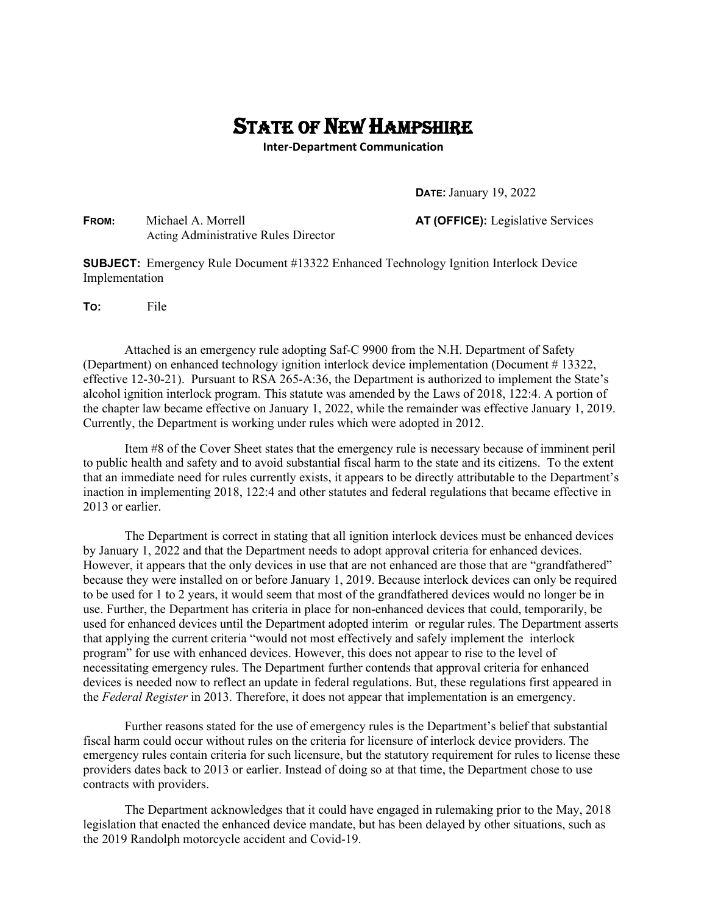## STATE OF NEW HAMPSHIRE

**Inter-Department Communication**

**DATE:** January 19, 2022

**FROM:** Michael A. Morrell **AT (OFFICE):** Legislative Services Acting Administrative Rules Director

**SUBJECT:** Emergency Rule Document #13322 Enhanced Technology Ignition Interlock Device Implementation

**TO:** File

 Attached is an emergency rule adopting Saf-C 9900 from the N.H. Department of Safety (Department) on enhanced technology ignition interlock device implementation (Document # 13322, effective 12-30-21). Pursuant to RSA 265-A:36, the Department is authorized to implement the State's alcohol ignition interlock program. This statute was amended by the Laws of 2018, 122:4. A portion of the chapter law became effective on January 1, 2022, while the remainder was effective January 1, 2019. Currently, the Department is working under rules which were adopted in 2012.

Item #8 of the Cover Sheet states that the emergency rule is necessary because of imminent peril to public health and safety and to avoid substantial fiscal harm to the state and its citizens. To the extent that an immediate need for rules currently exists, it appears to be directly attributable to the Department's inaction in implementing 2018, 122:4 and other statutes and federal regulations that became effective in 2013 or earlier.

The Department is correct in stating that all ignition interlock devices must be enhanced devices by January 1, 2022 and that the Department needs to adopt approval criteria for enhanced devices. However, it appears that the only devices in use that are not enhanced are those that are "grandfathered" because they were installed on or before January 1, 2019. Because interlock devices can only be required to be used for 1 to 2 years, it would seem that most of the grandfathered devices would no longer be in use. Further, the Department has criteria in place for non-enhanced devices that could, temporarily, be used for enhanced devices until the Department adopted interim or regular rules. The Department asserts that applying the current criteria "would not most effectively and safely implement the interlock program" for use with enhanced devices. However, this does not appear to rise to the level of necessitating emergency rules. The Department further contends that approval criteria for enhanced devices is needed now to reflect an update in federal regulations. But, these regulations first appeared in the *Federal Register* in 2013. Therefore, it does not appear that implementation is an emergency.

Further reasons stated for the use of emergency rules is the Department's belief that substantial fiscal harm could occur without rules on the criteria for licensure of interlock device providers. The emergency rules contain criteria for such licensure, but the statutory requirement for rules to license these providers dates back to 2013 or earlier. Instead of doing so at that time, the Department chose to use contracts with providers.

The Department acknowledges that it could have engaged in rulemaking prior to the May, 2018 legislation that enacted the enhanced device mandate, but has been delayed by other situations, such as the 2019 Randolph motorcycle accident and Covid-19.